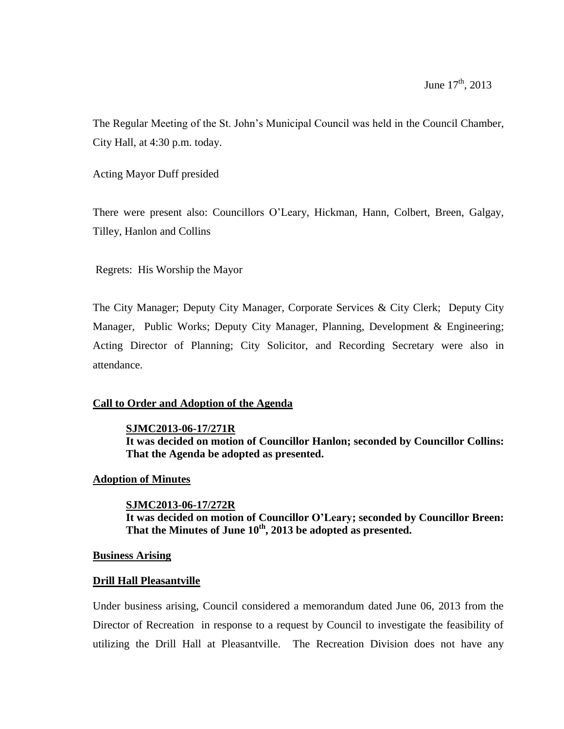The Regular Meeting of the St. John's Municipal Council was held in the Council Chamber, City Hall, at 4:30 p.m. today.

Acting Mayor Duff presided

There were present also: Councillors O'Leary, Hickman, Hann, Colbert, Breen, Galgay, Tilley, Hanlon and Collins

Regrets: His Worship the Mayor

The City Manager; Deputy City Manager, Corporate Services & City Clerk; Deputy City Manager, Public Works; Deputy City Manager, Planning, Development & Engineering; Acting Director of Planning; City Solicitor, and Recording Secretary were also in attendance.

## **Call to Order and Adoption of the Agenda**

### **SJMC2013-06-17/271R**

**It was decided on motion of Councillor Hanlon; seconded by Councillor Collins: That the Agenda be adopted as presented.**

### **Adoption of Minutes**

**SJMC2013-06-17/272R It was decided on motion of Councillor O'Leary; seconded by Councillor Breen: That the Minutes of June 10th , 2013 be adopted as presented.**

### **Business Arising**

### **Drill Hall Pleasantville**

Under business arising, Council considered a memorandum dated June 06, 2013 from the Director of Recreation in response to a request by Council to investigate the feasibility of utilizing the Drill Hall at Pleasantville. The Recreation Division does not have any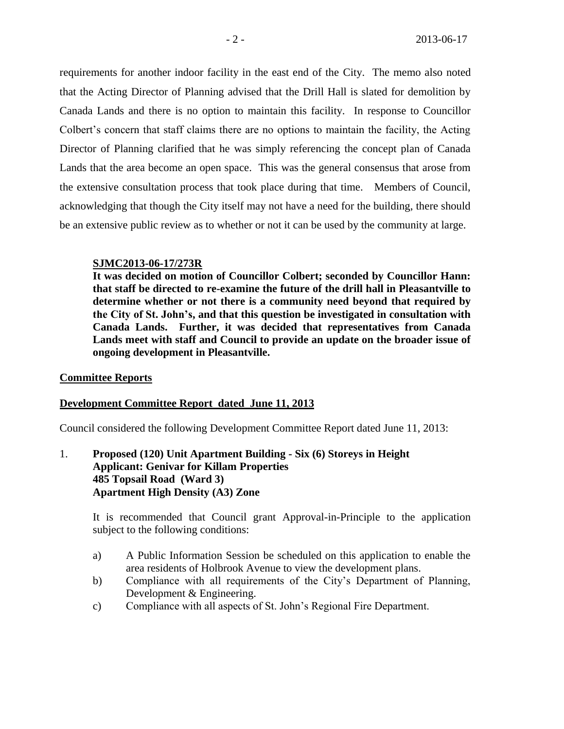requirements for another indoor facility in the east end of the City. The memo also noted that the Acting Director of Planning advised that the Drill Hall is slated for demolition by Canada Lands and there is no option to maintain this facility. In response to Councillor Colbert's concern that staff claims there are no options to maintain the facility, the Acting Director of Planning clarified that he was simply referencing the concept plan of Canada Lands that the area become an open space. This was the general consensus that arose from the extensive consultation process that took place during that time. Members of Council, acknowledging that though the City itself may not have a need for the building, there should be an extensive public review as to whether or not it can be used by the community at large.

### **SJMC2013-06-17/273R**

**It was decided on motion of Councillor Colbert; seconded by Councillor Hann: that staff be directed to re-examine the future of the drill hall in Pleasantville to determine whether or not there is a community need beyond that required by the City of St. John's, and that this question be investigated in consultation with Canada Lands. Further, it was decided that representatives from Canada Lands meet with staff and Council to provide an update on the broader issue of ongoing development in Pleasantville.**

## **Committee Reports**

## **Development Committee Report dated June 11, 2013**

Council considered the following Development Committee Report dated June 11, 2013:

1. **Proposed (120) Unit Apartment Building - Six (6) Storeys in Height Applicant: Genivar for Killam Properties 485 Topsail Road (Ward 3) Apartment High Density (A3) Zone**

It is recommended that Council grant Approval-in-Principle to the application subject to the following conditions:

- a) A Public Information Session be scheduled on this application to enable the area residents of Holbrook Avenue to view the development plans.
- b) Compliance with all requirements of the City's Department of Planning, Development & Engineering.
- c) Compliance with all aspects of St. John's Regional Fire Department.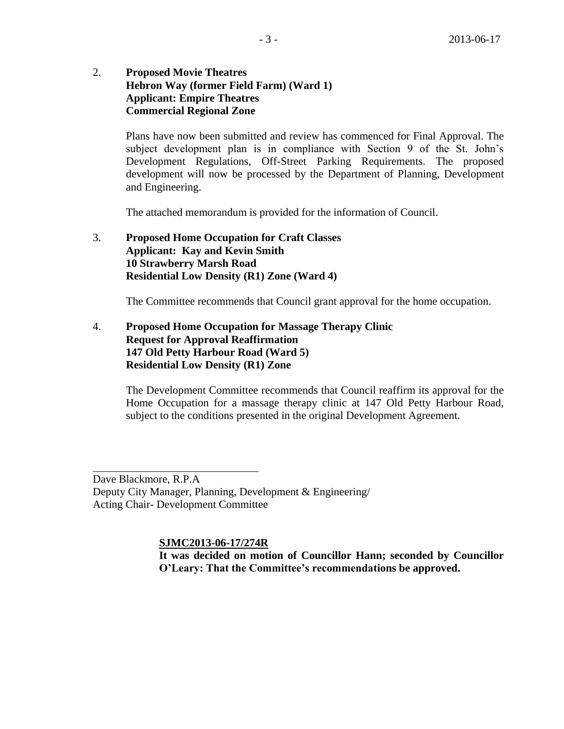# 2. **Proposed Movie Theatres Hebron Way (former Field Farm) (Ward 1) Applicant: Empire Theatres Commercial Regional Zone**

Plans have now been submitted and review has commenced for Final Approval. The subject development plan is in compliance with Section 9 of the St. John's Development Regulations, Off-Street Parking Requirements. The proposed development will now be processed by the Department of Planning, Development and Engineering.

The attached memorandum is provided for the information of Council.

# 3. **Proposed Home Occupation for Craft Classes Applicant: Kay and Kevin Smith 10 Strawberry Marsh Road Residential Low Density (R1) Zone (Ward 4)**

The Committee recommends that Council grant approval for the home occupation.

## 4. **Proposed Home Occupation for Massage Therapy Clinic Request for Approval Reaffirmation 147 Old Petty Harbour Road (Ward 5) Residential Low Density (R1) Zone**

The Development Committee recommends that Council reaffirm its approval for the Home Occupation for a massage therapy clinic at 147 Old Petty Harbour Road, subject to the conditions presented in the original Development Agreement.

Dave Blackmore, R.P.A Deputy City Manager, Planning, Development & Engineering/ Acting Chair- Development Committee

i<br>L

**SJMC2013-06-17/274R**

**It was decided on motion of Councillor Hann; seconded by Councillor O'Leary: That the Committee's recommendations be approved.**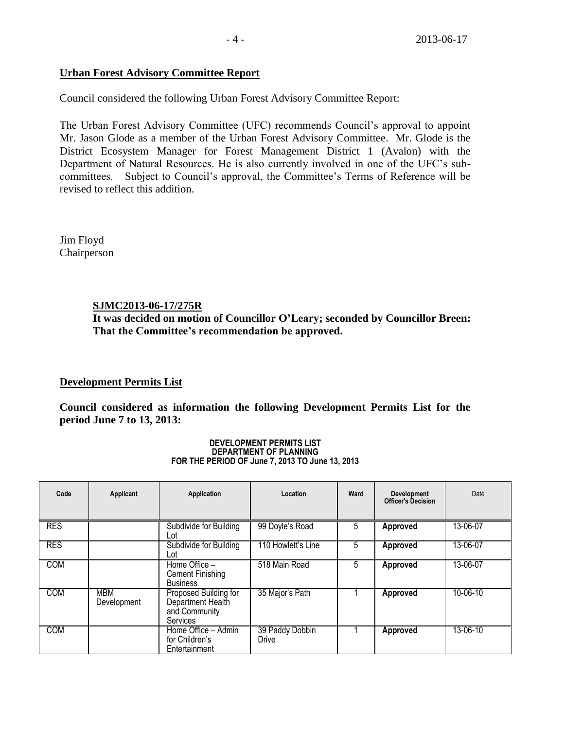# **Urban Forest Advisory Committee Report**

Council considered the following Urban Forest Advisory Committee Report:

The Urban Forest Advisory Committee (UFC) recommends Council's approval to appoint Mr. Jason Glode as a member of the Urban Forest Advisory Committee. Mr. Glode is the District Ecosystem Manager for Forest Management District 1 (Avalon) with the Department of Natural Resources. He is also currently involved in one of the UFC's subcommittees. Subject to Council's approval, the Committee's Terms of Reference will be revised to reflect this addition.

Jim Floyd Chairperson

# **SJMC2013-06-17/275R**

**It was decided on motion of Councillor O'Leary; seconded by Councillor Breen: That the Committee's recommendation be approved.**

# **Development Permits List**

**Council considered as information the following Development Permits List for the period June 7 to 13, 2013:**

| Code       | Applicant                 | Application                                                                    | Location                 | Ward | <b>Development</b><br><b>Officer's Decision</b> | Date     |
|------------|---------------------------|--------------------------------------------------------------------------------|--------------------------|------|-------------------------------------------------|----------|
| <b>RES</b> |                           | Subdivide for Building<br>∟ot                                                  | 99 Doyle's Road          | 5    | Approved                                        | 13-06-07 |
| <b>RES</b> |                           | Subdivide for Building<br>Lot                                                  | 110 Howlett's Line       | 5    | Approved                                        | 13-06-07 |
| <b>COM</b> |                           | Home Office -<br>Cement Finishing<br><b>Business</b>                           | 518 Main Road            | 5    | Approved                                        | 13-06-07 |
| <b>COM</b> | <b>MBM</b><br>Development | Proposed Building for<br>Department Health<br>and Community<br><b>Services</b> | 35 Major's Path          |      | Approved                                        | 10-06-10 |
| COM        |                           | Home Office - Admin<br>for Children's<br>Entertainment                         | 39 Paddy Dobbin<br>Drive |      | Approved                                        | 13-06-10 |

#### **DEVELOPMENT PERMITS LIST DEPARTMENT OF PLANNING FOR THE PERIOD OF June 7, 2013 TO June 13, 2013**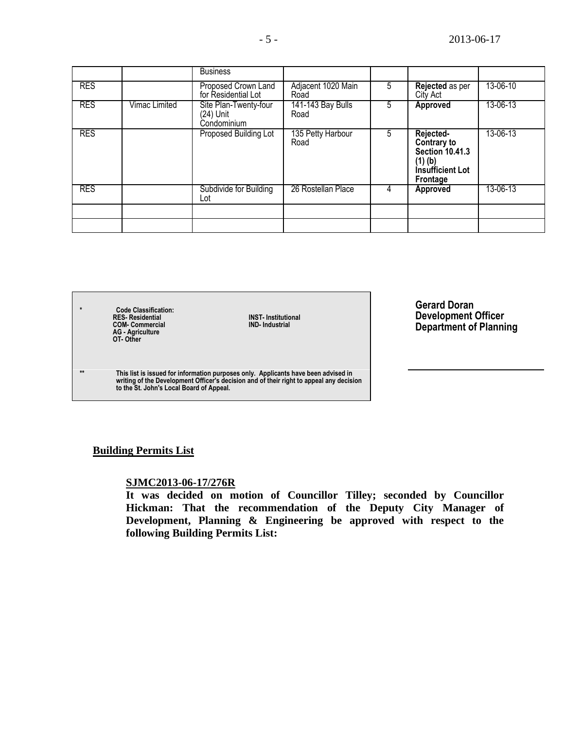|            |                      | <b>Business</b>                                   |                                  |   |                                                                                        |          |
|------------|----------------------|---------------------------------------------------|----------------------------------|---|----------------------------------------------------------------------------------------|----------|
| <b>RES</b> |                      | Proposed Crown Land<br>for Residential Lot        | Adjacent 1020 Main<br>Road       | 5 | Rejected as per<br>City Act                                                            | 13-06-10 |
| <b>RES</b> | <b>Vimac Limited</b> | Site Plan-Twenty-four<br>(24) Unit<br>Condominium | <b>141-143 Bay Bulls</b><br>Road | 5 | Approved                                                                               | 13-06-13 |
| <b>RES</b> |                      | Proposed Building Lot                             | 135 Petty Harbour<br>Road        | 5 | Rejected-<br>Contrary to<br>Section 10.41.3<br>(1) (b)<br>Insufficient Lot<br>Frontage | 13-06-13 |
| <b>RES</b> |                      | Subdivide for Building<br>Lot                     | 26 Rostellan Place               | 4 | Approved                                                                               | 13-06-13 |
|            |                      |                                                   |                                  |   |                                                                                        |          |
|            |                      |                                                   |                                  |   |                                                                                        |          |

**\* Code Classification:**  $RES-Residential$ <br>  $COM- Commercial$ **AG - Agriculture OT- Other**

**RES- Residential INST- Institutional**

**\*\* This list is issued for information purposes only. Applicants have been advised in writing of the Development Officer's decision and of their right to appeal any decision to the St. John's Local Board of Appeal.**

**Gerard Doran Development Officer Department of Planning**

## **Building Permits List**

## **SJMC2013-06-17/276R**

**It was decided on motion of Councillor Tilley; seconded by Councillor Hickman: That the recommendation of the Deputy City Manager of Development, Planning & Engineering be approved with respect to the following Building Permits List:**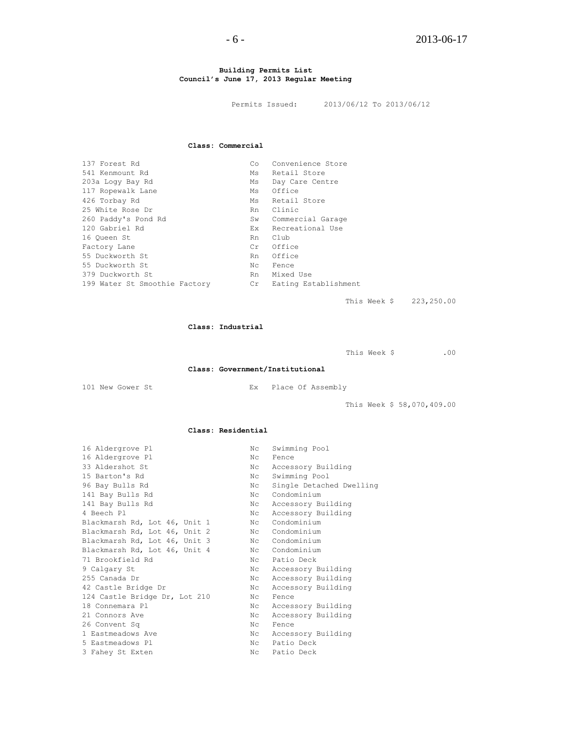#### **Building Permits List Council's June 17, 2013 Regular Meeting**

Permits Issued: 2013/06/12 To 2013/06/12

#### **Class: Commercial**

| 137 Forest Rd                 | Co. | Convenience Store    |
|-------------------------------|-----|----------------------|
| 541 Kenmount Rd               | Ms  | Retail Store         |
| 203a Loqy Bay Rd              | Ms  | Day Care Centre      |
| 117 Ropewalk Lane             | Ms  | Office               |
| 426 Torbay Rd                 | Ms  | Retail Store         |
| 25 White Rose Dr              | Rn  | Clinic               |
| 260 Paddy's Pond Rd           | Sw  | Commercial Garage    |
| 120 Gabriel Rd                | Ex  | Recreational Use     |
| 16 Oueen St                   | Rn  | Club                 |
| Factory Lane                  | Cr  | Office               |
| 55 Duckworth St               | Rn  | Office               |
| 55 Duckworth St               | Nс  | Fence                |
| 379 Duckworth St              | Rn  | Mixed Use            |
| 199 Water St Smoothie Factory | Cr  | Eating Establishment |

This Week \$ 223,250.00

#### **Class: Industrial**

This Week \$ .00

#### **Class: Government/Institutional**

101 New Gower St Ex Place Of Assembly

This Week \$ 58,070,409.00

#### **Class: Residential**

| Nc             | Swimming Pool            |
|----------------|--------------------------|
| Nc             | Fence                    |
| N <sub>C</sub> | Accessory Building       |
| N <sub>C</sub> | Swimming Pool            |
| N <sub>C</sub> | Single Detached Dwelling |
| $N_{\rm C}$    | Condominium              |
| Nc             | Accessory Building       |
| N <sub>C</sub> | Accessory Building       |
| Nc             | Condominium              |
| Nc             | Condominium              |
| Nc             | Condominium              |
| Nc             | Condominium              |
| $N_{\rm C}$    | Patio Deck               |
| Nc             | Accessory Building       |
| $N_{\rm C}$    | Accessory Building       |
| Nc             | Accessory Building       |
| Nc             | Fence                    |
| $N_{\rm C}$    | Accessory Building       |
| Nc             | Accessory Building       |
| Nc             | Fence                    |
| Nc             | Accessory Building       |
| $N_{\rm C}$    | Patio Deck               |
| Nc             | Patio Deck               |
|                |                          |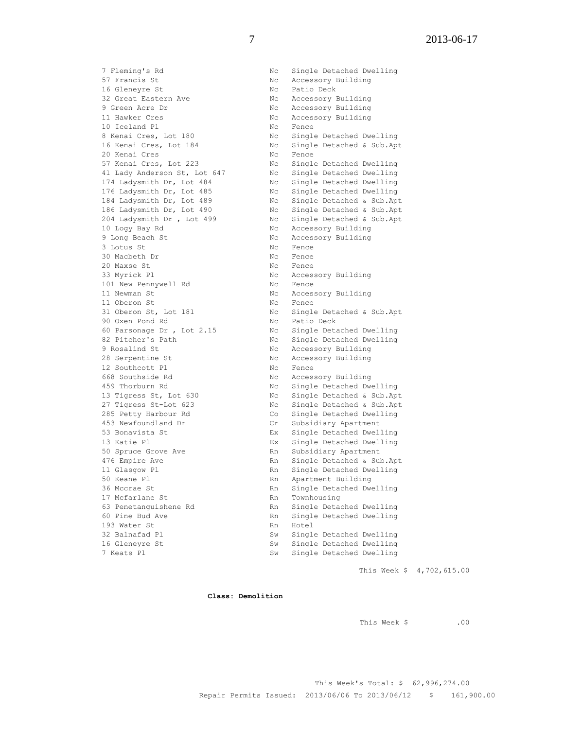7 Fleming's Rd Nc Single Detached Dwelling 57 Francis St 67 No Recessory Building 16 Gleneyre St Nc Patio Deck 32 Great Eastern Ave No Nc Accessory Building 9 Green Acre Dr Nc Accessory Building 11 Hawker Cres No. 2016 No. 2016 No. 2017 No. 2018 No. 2018 No. 2019 No. 2018 No. 2019 No. 2018 No. 2019 No. 20 10 Iceland Pl Nc Rence 8 Kenai Cres, Lot 180 Nc Single Detached Dwelling 16 Kenai Cres, Lot 184 Nc Single Detached & Sub.Apt 20 Kenai Cres No. 20 Kenai Cres No. 20 Kenai Cres 57 Kenai Cres, Lot 223 Nc Single Detached Dwelling 41 Lady Anderson St, Lot 647 Nc Single Detached Dwelling 174 Ladysmith Dr, Lot 484 Nc Single Detached Dwelling 176 Ladysmith Dr, Lot 485 Nc Single Detached Dwelling 184 Ladysmith Dr, Lot 489 Nc Single Detached & Sub.Apt 186 Ladysmith Dr, Lot 490 Nc Single Detached & Sub.Apt 204 Ladysmith Dr , Lot 499 Nc Single Detached & Sub.Apt 10 Logy Bay Rd Nc Accessory Building 9 Long Beach St Nc Accessory Building 9 Long Beach St 1988 Constant No Accessory Building<br>3 Lotus St 1988 No Fence 30 Macbeth Dr Nc Fence 20 Maxse St Nc Fence<br>33 Myrick Pl Nc Access 101 New Pennywell Rd Nc Fence 11 Newman St Nc Accessory Building 11 Oberon St<br>
11 Oberon St, Lot 181 Mc Single Detached & Sub.Apt<br>
12 Mc Single Detached & Sub.Apt<br>
12 Mc Patio Deck<br>
20 Oxen Pond Rd<br>
20 Nc Patio Deck 31 Oberon St, Lot 181 Nc Single Detached & Sub.Apt 90 Oxen Pond Rd No Nc Patio Deck 60 Parsonage Dr , Lot 2.15 Nc Single Detached Dwelling 82 Pitcher's Path Nc Single Detached Dwelling 9 Rosalind St Nc Accessory Building 28 Serpentine St Nc Accessory Building 12 Southcott Pl<br>
668 Southside Rd<br>
459 Thorburn Rd<br>
459 Thorburn Rd<br>
169 Notes Notes Notes Notes Notes Notes 668 Southside Rd No Recessory Building 459 Thorburn Rd Nc Single Detached Dwelling 13 Tigress St, Lot 630 Nc Single Detached & Sub.Apt 27 Tigress St-Lot 623 Nc Single Detached & Sub.Apt 285 Petty Harbour Rd Co Single Detached Dwelling 453 Newfoundland Dr Cr Subsidiary Apartment 53 Bonavista St Ex Single Detached Dwelling 13 Katie Pl Ex Single Detached Dwelling 50 Spruce Grove Ave **RACK ROOT** Rn Subsidiary Apartment 1422 - 1422 - 1422 - 1422 - 1422 - 1422 - 1422 - 1422 - 1422 - 1422 - 1422 - 1422 - 1422 - 1422 - 1422 - 1422 - 1422 - 1422 - 1422 - 1422 - 1422 - 1422 - 1422 - 1422 - 1422 - 1422 - 1422 - 1422 - 1422 - 1422 - 1422 - 1422 11 Glasgow Pl Rn Single Detached Dwelling 50 Keane Pl **Rn** Apartment Building 36 Mccrae St **Rn** Single Detached Dwelling 17 Mcfarlane St Rn Townhousing 63 Penetanguishene Rd Rn Single Detached Dwelling 193 Water St Rn Hotel 32 Balnafad Pl Sw Single Detached Dwelling 16 Gleneyre St Sw Single Detached Dwelling

Nc Accessory Building en<br>Rn Single Detached Dwelling<br>Rn Hotel 7 Keats Pl Sw Single Detached Dwelling

This Week \$ 4,702,615.00

**Class: Demolition**

This Week \$ .00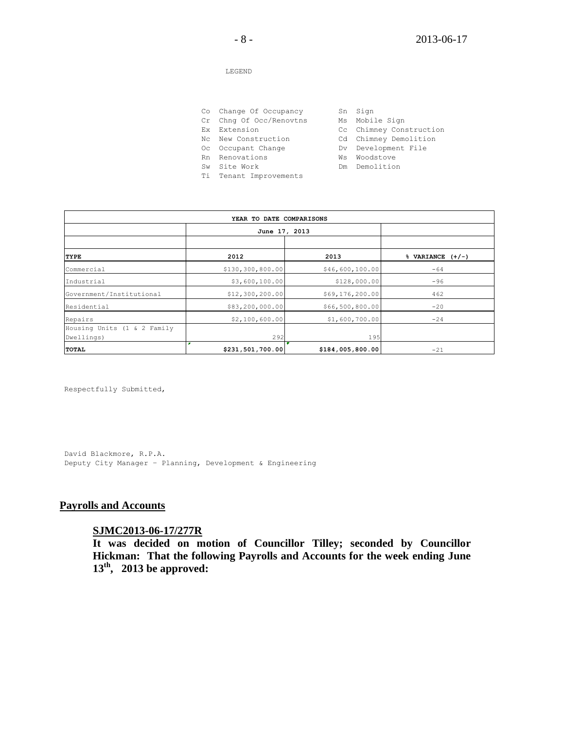#### LEGEND

- Co Change Of Occupancy Sn Sign
- Cr Chng Of Occ/Renovtns Ms Mobile Sign
- 
- Nc New Construction Cd Chimney Demolition
- Oc Occupant Change The Dv Development File

Ti Tenant Improvements

- 
- Ex Extension Cc Chimney Construction
	-
	-
- Rn Renovations **William Warehouse** Wis Woodstove
- Sw Site Work **Demolition**

| YEAR TO DATE COMPARISONS    |                    |                  |                                |  |
|-----------------------------|--------------------|------------------|--------------------------------|--|
|                             | June 17, 2013      |                  |                                |  |
|                             |                    |                  |                                |  |
| <b>TYPE</b>                 | 2012               | 2013             | $\sqrt[3]{ }$ VARIANCE $(+/-)$ |  |
| Commercial                  | \$130, 300, 800.00 | \$46,600,100.00  | $-64$                          |  |
| Industrial                  | \$3,600,100.00     | \$128,000.00     | $-96$                          |  |
| Government/Institutional    | \$12,300,200.00    | \$69,176,200.00  | 462                            |  |
| Residential                 | \$83,200,000.00    | \$66,500,800.00  | $-20$                          |  |
| Repairs                     | \$2,100,600.00     | \$1,600,700.00   | $-24$                          |  |
| Housing Units (1 & 2 Family |                    |                  |                                |  |
| Dwellings)                  | 292                | 195              |                                |  |
| <b>TOTAL</b>                | \$231,501,700.00   | \$184,005,800.00 | $-21$                          |  |

Respectfully Submitted,

David Blackmore, R.P.A. Deputy City Manager – Planning, Development & Engineering

### **Payrolls and Accounts**

### **SJMC2013-06-17/277R**

**It was decided on motion of Councillor Tilley; seconded by Councillor Hickman: That the following Payrolls and Accounts for the week ending June 13th , 2013 be approved:**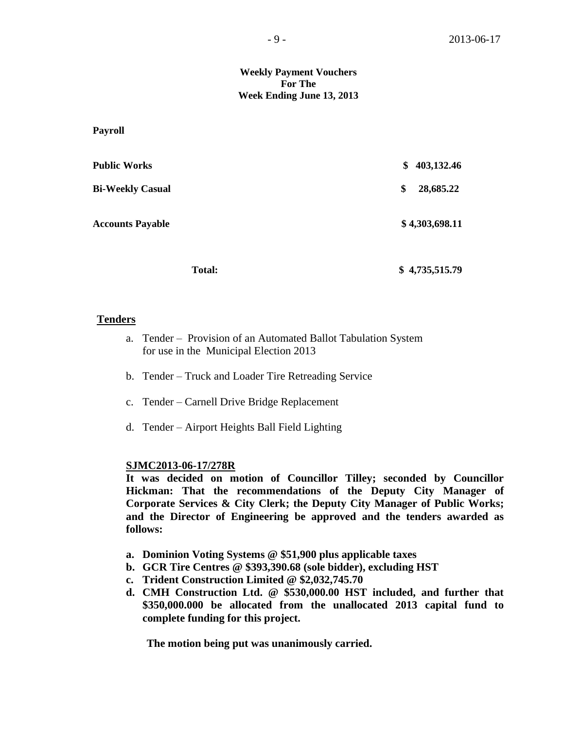### **Weekly Payment Vouchers For The Week Ending June 13, 2013**

**Payroll**

| <b>Public Works</b>     | \$<br>403,132.46 |
|-------------------------|------------------|
| <b>Bi-Weekly Casual</b> | \$<br>28,685.22  |
| <b>Accounts Payable</b> | \$4,303,698.11   |
|                         |                  |

### **Tenders**

- a. Tender Provision of an Automated Ballot Tabulation System for use in the Municipal Election 2013
- b. Tender Truck and Loader Tire Retreading Service
- c. Tender Carnell Drive Bridge Replacement
- d. Tender Airport Heights Ball Field Lighting

### **SJMC2013-06-17/278R**

**It was decided on motion of Councillor Tilley; seconded by Councillor Hickman: That the recommendations of the Deputy City Manager of Corporate Services & City Clerk; the Deputy City Manager of Public Works; and the Director of Engineering be approved and the tenders awarded as follows:**

Total: \$ 4,735,515.79

- **a. Dominion Voting Systems @ \$51,900 plus applicable taxes**
- **b. GCR Tire Centres @ \$393,390.68 (sole bidder), excluding HST**
- **c. Trident Construction Limited @ \$2,032,745.70**
- **d. CMH Construction Ltd. @ \$530,000.00 HST included, and further that \$350,000.000 be allocated from the unallocated 2013 capital fund to complete funding for this project.**

**The motion being put was unanimously carried.**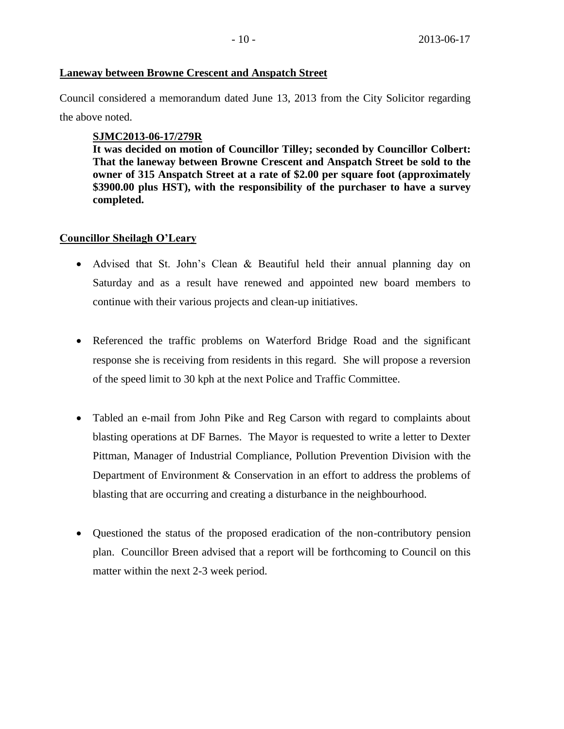## **Laneway between Browne Crescent and Anspatch Street**

Council considered a memorandum dated June 13, 2013 from the City Solicitor regarding the above noted.

# **SJMC2013-06-17/279R**

**It was decided on motion of Councillor Tilley; seconded by Councillor Colbert: That the laneway between Browne Crescent and Anspatch Street be sold to the owner of 315 Anspatch Street at a rate of \$2.00 per square foot (approximately \$3900.00 plus HST), with the responsibility of the purchaser to have a survey completed.**

# **Councillor Sheilagh O'Leary**

- Advised that St. John's Clean & Beautiful held their annual planning day on Saturday and as a result have renewed and appointed new board members to continue with their various projects and clean-up initiatives.
- Referenced the traffic problems on Waterford Bridge Road and the significant response she is receiving from residents in this regard. She will propose a reversion of the speed limit to 30 kph at the next Police and Traffic Committee.
- Tabled an e-mail from John Pike and Reg Carson with regard to complaints about blasting operations at DF Barnes. The Mayor is requested to write a letter to Dexter Pittman, Manager of Industrial Compliance, Pollution Prevention Division with the Department of Environment & Conservation in an effort to address the problems of blasting that are occurring and creating a disturbance in the neighbourhood.
- Questioned the status of the proposed eradication of the non-contributory pension plan. Councillor Breen advised that a report will be forthcoming to Council on this matter within the next 2-3 week period.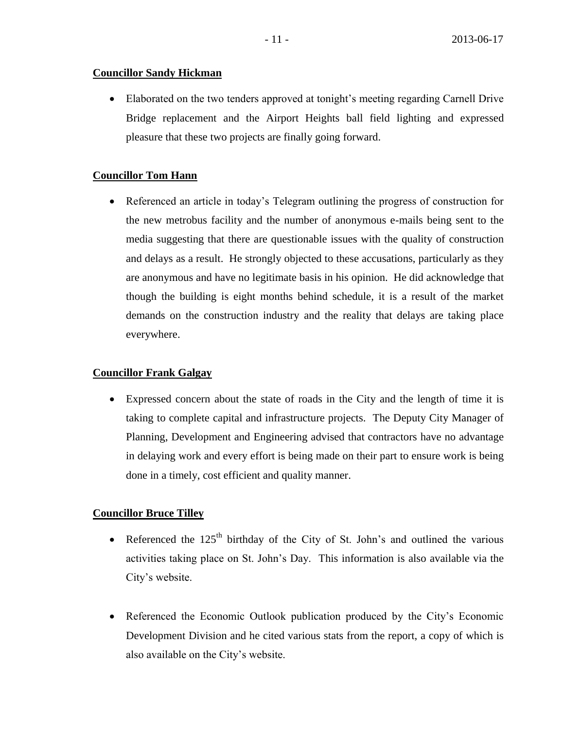# **Councillor Sandy Hickman**

 Elaborated on the two tenders approved at tonight's meeting regarding Carnell Drive Bridge replacement and the Airport Heights ball field lighting and expressed pleasure that these two projects are finally going forward.

# **Councillor Tom Hann**

 Referenced an article in today's Telegram outlining the progress of construction for the new metrobus facility and the number of anonymous e-mails being sent to the media suggesting that there are questionable issues with the quality of construction and delays as a result. He strongly objected to these accusations, particularly as they are anonymous and have no legitimate basis in his opinion. He did acknowledge that though the building is eight months behind schedule, it is a result of the market demands on the construction industry and the reality that delays are taking place everywhere.

## **Councillor Frank Galgay**

 Expressed concern about the state of roads in the City and the length of time it is taking to complete capital and infrastructure projects. The Deputy City Manager of Planning, Development and Engineering advised that contractors have no advantage in delaying work and every effort is being made on their part to ensure work is being done in a timely, cost efficient and quality manner.

# **Councillor Bruce Tilley**

- Referenced the  $125<sup>th</sup>$  birthday of the City of St. John's and outlined the various activities taking place on St. John's Day. This information is also available via the City's website.
- Referenced the Economic Outlook publication produced by the City's Economic Development Division and he cited various stats from the report, a copy of which is also available on the City's website.